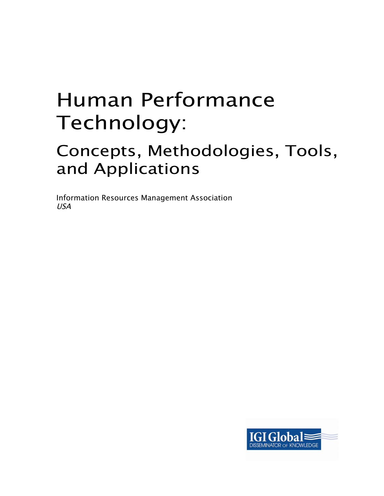# Human Performance Technology:

## Concepts, Methodologies, Tools, and Applications

Information Resources Management Association USA

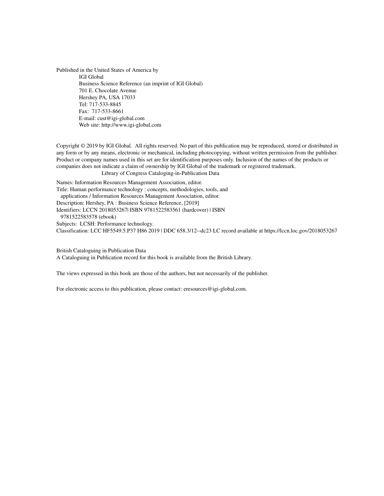Published in the United States of America by IGI Global Business Science Reference (an imprint of IGI Global) 701 E. Chocolate Avenue Hershey PA, USA 17033 Tel: 717-533-8845 Fax: 717-533-8661 E-mail: cust@igi-global.com Web site: http://www.igi-global.com

Copyright © 2019 by IGI Global. All rights reserved. No part of this publication may be reproduced, stored or distributed in any form or by any means, electronic or mechanical, including photocopying, without written permission from the publisher. Product or company names used in this set are for identification purposes only. Inclusion of the names of the products or companies does not indicate a claim of ownership by IGI Global of the trademark or registered trademark. Library of Congress Cataloging-in-Publication Data

Names: Information Resources Management Association, editor. Title: Human performance technology : concepts, methodologies, tools, and applications / Information Resources Management Association, editor. Description: Hershey, PA : Business Science Reference, [2019] Identifiers: LCCN 2018053267| ISBN 9781522583561 (hardcover) | ISBN 9781522583578 (ebook) Subjects: LCSH: Performance technology. Classification: LCC HF5549.5.P37 H86 2019 | DDC 658.3/12--dc23 LC record available at https://lccn.loc.gov/2018053267

British Cataloguing in Publication Data A Cataloguing in Publication record for this book is available from the British Library.

The views expressed in this book are those of the authors, but not necessarily of the publisher.

For electronic access to this publication, please contact: eresources@igi-global.com.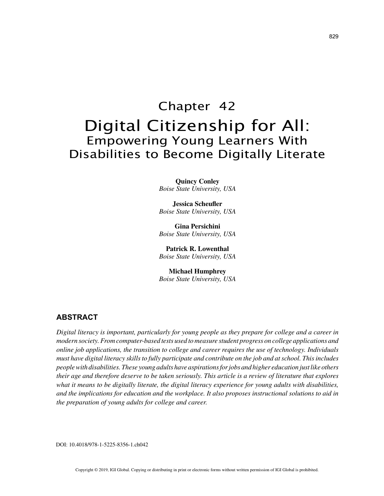## Chapter 42 Digital Citizenship for All: Empowering Young Learners With Disabilities to Become Digitally Literate

**Quincy Conley** *Boise State University, USA*

**Jessica Scheufler** *Boise State University, USA*

**Gina Persichini** *Boise State University, USA*

**Patrick R. Lowenthal** *Boise State University, USA*

**Michael Humphrey** *Boise State University, USA*

## **ABSTRACT**

*Digital literacy is important, particularly for young people as they prepare for college and a career in modern society. From computer-based tests used to measure student progress on college applications and online job applications, the transition to college and career requires the use of technology. Individuals must have digital literacy skills to fully participate and contribute on the job and at school. This includes people with disabilities. These young adults have aspirations for jobs and higher education just like others their age and therefore deserve to be taken seriously. This article is a review of literature that explores what it means to be digitally literate, the digital literacy experience for young adults with disabilities, and the implications for education and the workplace. It also proposes instructional solutions to aid in the preparation of young adults for college and career.*

DOI: 10.4018/978-1-5225-8356-1.ch042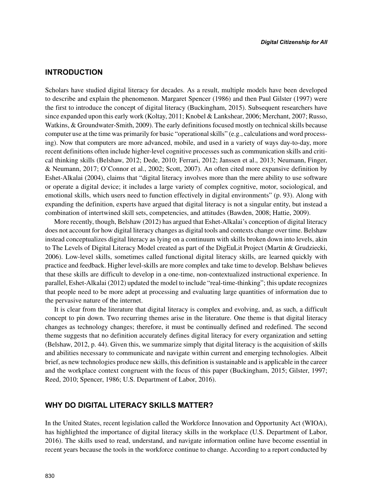## **INTRODUCTION**

Scholars have studied digital literacy for decades. As a result, multiple models have been developed to describe and explain the phenomenon. Margaret Spencer (1986) and then Paul Gilster (1997) were the first to introduce the concept of digital literacy (Buckingham, 2015). Subsequent researchers have since expanded upon this early work (Koltay, 2011; Knobel & Lankshear, 2006; Merchant, 2007; Russo, Watkins, & Groundwater-Smith, 2009). The early definitions focused mostly on technical skills because computer use at the time was primarily for basic "operational skills" (e.g., calculations and word processing). Now that computers are more advanced, mobile, and used in a variety of ways day-to-day, more recent definitions often include higher-level cognitive processes such as communication skills and critical thinking skills (Belshaw, 2012; Dede, 2010; Ferrari, 2012; Janssen et al., 2013; Neumann, Finger, & Neumann, 2017; O'Connor et al., 2002; Scott, 2007). An often cited more expansive definition by Eshet-Alkalai (2004), claims that "digital literacy involves more than the mere ability to use software or operate a digital device; it includes a large variety of complex cognitive, motor, sociological, and emotional skills, which users need to function effectively in digital environments" (p. 93). Along with expanding the definition, experts have argued that digital literacy is not a singular entity, but instead a combination of intertwined skill sets, competencies, and attitudes (Bawden, 2008; Hattie, 2009).

More recently, though, Belshaw (2012) has argued that Eshet-Alkalai's conception of digital literacy does not account for how digital literacy changes as digital tools and contexts change over time. Belshaw instead conceptualizes digital literacy as lying on a continuum with skills broken down into levels, akin to The Levels of Digital Literacy Model created as part of the DigEuLit Project (Martin & Grudziecki, 2006). Low-level skills, sometimes called functional digital literacy skills, are learned quickly with practice and feedback. Higher level-skills are more complex and take time to develop. Belshaw believes that these skills are difficult to develop in a one-time, non-contextualized instructional experience. In parallel, Eshet-Alkalai (2012) updated the model to include "real-time-thinking"; this update recognizes that people need to be more adept at processing and evaluating large quantities of information due to the pervasive nature of the internet.

It is clear from the literature that digital literacy is complex and evolving, and, as such, a difficult concept to pin down. Two recurring themes arise in the literature. One theme is that digital literacy changes as technology changes; therefore, it must be continually defined and redefined. The second theme suggests that no definition accurately defines digital literacy for every organization and setting (Belshaw, 2012, p. 44). Given this, we summarize simply that digital literacy is the acquisition of skills and abilities necessary to communicate and navigate within current and emerging technologies. Albeit brief, as new technologies produce new skills, this definition is sustainable and is applicable in the career and the workplace context congruent with the focus of this paper (Buckingham, 2015; Gilster, 1997; Reed, 2010; Spencer, 1986; U.S. Department of Labor, 2016).

### **WHY DO DIGITAL LITERACY SKILLS MATTER?**

In the United States, recent legislation called the Workforce Innovation and Opportunity Act (WIOA), has highlighted the importance of digital literacy skills in the workplace (U.S. Department of Labor, 2016). The skills used to read, understand, and navigate information online have become essential in recent years because the tools in the workforce continue to change. According to a report conducted by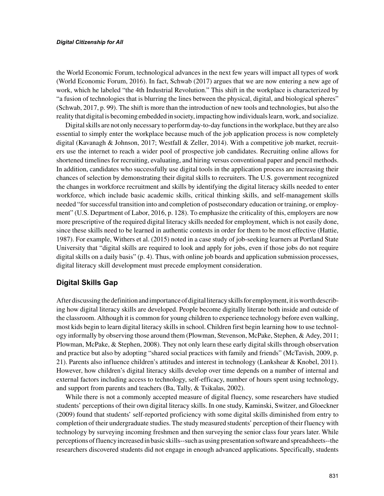the World Economic Forum, technological advances in the next few years will impact all types of work (World Economic Forum, 2016). In fact, Schwab (2017) argues that we are now entering a new age of work, which he labeled "the 4th Industrial Revolution." This shift in the workplace is characterized by "a fusion of technologies that is blurring the lines between the physical, digital, and biological spheres" (Schwab, 2017, p. 99). The shift is more than the introduction of new tools and technologies, but also the reality that digital is becoming embedded in society, impacting how individuals learn, work, and socialize.

Digital skills are not only necessary to perform day-to-day functions in the workplace, but they are also essential to simply enter the workplace because much of the job application process is now completely digital (Kavanagh & Johnson, 2017; Westfall & Zeller, 2014). With a competitive job market, recruiters use the internet to reach a wider pool of prospective job candidates. Recruiting online allows for shortened timelines for recruiting, evaluating, and hiring versus conventional paper and pencil methods. In addition, candidates who successfully use digital tools in the application process are increasing their chances of selection by demonstrating their digital skills to recruiters. The U.S. government recognized the changes in workforce recruitment and skills by identifying the digital literacy skills needed to enter workforce, which include basic academic skills, critical thinking skills, and self-management skills needed "for successful transition into and completion of postsecondary education or training, or employment" (U.S. Department of Labor, 2016, p. 128). To emphasize the criticality of this, employers are now more prescriptive of the required digital literacy skills needed for employment, which is not easily done, since these skills need to be learned in authentic contexts in order for them to be most effective (Hattie, 1987). For example, Withers et al. (2015) noted in a case study of job-seeking learners at Portland State University that "digital skills are required to look and apply for jobs, even if those jobs do not require digital skills on a daily basis" (p. 4). Thus, with online job boards and application submission processes, digital literacy skill development must precede employment consideration.

## **Digital Skills Gap**

After discussing the definition and importance of digital literacy skills for employment, it is worth describing how digital literacy skills are developed. People become digitally literate both inside and outside of the classroom. Although it is common for young children to experience technology before even walking, most kids begin to learn digital literacy skills in school. Children first begin learning how to use technology informally by observing those around them (Plowman, Stevenson, McPake, Stephen, & Adey, 2011; Plowman, McPake, & Stephen, 2008). They not only learn these early digital skills through observation and practice but also by adopting "shared social practices with family and friends" (McTavish, 2009, p. 21). Parents also influence children's attitudes and interest in technology (Lankshear & Knobel, 2011). However, how children's digital literacy skills develop over time depends on a number of internal and external factors including access to technology, self-efficacy, number of hours spent using technology, and support from parents and teachers (Ba, Tally, & Tsikalas, 2002).

While there is not a commonly accepted measure of digital fluency, some researchers have studied students' perceptions of their own digital literacy skills. In one study, Kaminski, Switzer, and Gloeckner (2009) found that students' self-reported proficiency with some digital skills diminished from entry to completion of their undergraduate studies. The study measured students' perception of their fluency with technology by surveying incoming freshmen and then surveying the senior class four years later. While perceptions of fluency increased in basic skills--such as using presentation software and spreadsheets--the researchers discovered students did not engage in enough advanced applications. Specifically, students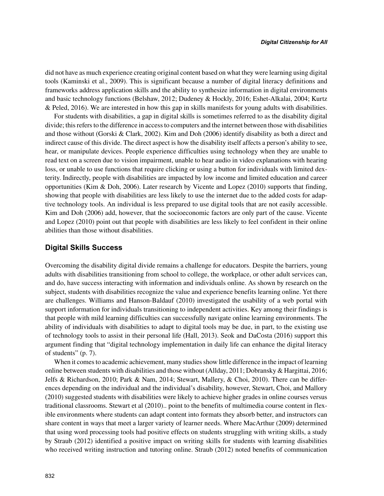did not have as much experience creating original content based on what they were learning using digital tools (Kaminski et al., 2009). This is significant because a number of digital literacy definitions and frameworks address application skills and the ability to synthesize information in digital environments and basic technology functions (Belshaw, 2012; Dudeney & Hockly, 2016; Eshet-Alkalai, 2004; Kurtz & Peled, 2016). We are interested in how this gap in skills manifests for young adults with disabilities.

For students with disabilities, a gap in digital skills is sometimes referred to as the disability digital divide; this refers to the difference in access to computers and the internet between those with disabilities and those without (Gorski & Clark, 2002). Kim and Doh (2006) identify disability as both a direct and indirect cause of this divide. The direct aspect is how the disability itself affects a person's ability to see, hear, or manipulate devices. People experience difficulties using technology when they are unable to read text on a screen due to vision impairment, unable to hear audio in video explanations with hearing loss, or unable to use functions that require clicking or using a button for individuals with limited dexterity. Indirectly, people with disabilities are impacted by low income and limited education and career opportunities (Kim & Doh, 2006). Later research by Vicente and Lopez (2010) supports that finding, showing that people with disabilities are less likely to use the internet due to the added costs for adaptive technology tools. An individual is less prepared to use digital tools that are not easily accessible. Kim and Doh (2006) add, however, that the socioeconomic factors are only part of the cause. Vicente and Lopez (2010) point out that people with disabilities are less likely to feel confident in their online abilities than those without disabilities.

#### **Digital Skills Success**

Overcoming the disability digital divide remains a challenge for educators. Despite the barriers, young adults with disabilities transitioning from school to college, the workplace, or other adult services can, and do, have success interacting with information and individuals online. As shown by research on the subject, students with disabilities recognize the value and experience benefits learning online. Yet there are challenges. Williams and Hanson-Baldauf (2010) investigated the usability of a web portal with support information for individuals transitioning to independent activities. Key among their findings is that people with mild learning difficulties can successfully navigate online learning environments. The ability of individuals with disabilities to adapt to digital tools may be due, in part, to the existing use of technology tools to assist in their personal life (Hall, 2013). Seok and DaCosta (2016) support this argument finding that "digital technology implementation in daily life can enhance the digital literacy of students" (p. 7).

When it comes to academic achievement, many studies show little difference in the impact of learning online between students with disabilities and those without (Allday, 2011; Dobransky & Hargittai, 2016; Jelfs & Richardson, 2010; Park & Nam, 2014; Stewart, Mallery, & Choi, 2010). There can be differences depending on the individual and the individual's disability, however, Stewart, Choi, and Mallory (2010) suggested students with disabilities were likely to achieve higher grades in online courses versus traditional classrooms. Stewart et al (2010).. point to the benefits of multimedia course content in flexible environments where students can adapt content into formats they absorb better, and instructors can share content in ways that meet a larger variety of learner needs. Where MacArthur (2009) determined that using word processing tools had positive effects on students struggling with writing skills, a study by Straub (2012) identified a positive impact on writing skills for students with learning disabilities who received writing instruction and tutoring online. Straub (2012) noted benefits of communication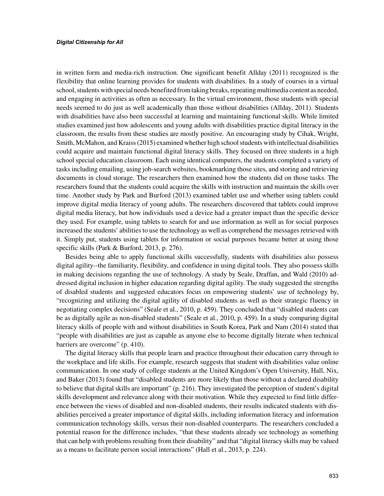in written form and media-rich instruction. One significant benefit Allday (2011) recognized is the flexibility that online learning provides for students with disabilities. In a study of courses in a virtual school, students with special needs benefited from taking breaks, repeating multimedia content as needed, and engaging in activities as often as necessary. In the virtual environment, those students with special needs seemed to do just as well academically than those without disabilities (Allday, 2011). Students with disabilities have also been successful at learning and maintaining functional skills. While limited studies examined just how adolescents and young adults with disabilities practice digital literacy in the classroom, the results from these studies are mostly positive. An encouraging study by Cihak, Wright, Smith, McMahon, and Kraiss (2015) examined whether high school students with intellectual disabilities could acquire and maintain functional digital literacy skills. They focused on three students in a high school special education classroom. Each using identical computers, the students completed a variety of tasks including emailing, using job-search websites, bookmarking those sites, and storing and retrieving documents in cloud storage. The researchers then examined how the students did on those tasks. The researchers found that the students could acquire the skills with instruction and maintain the skills over time. Another study by Park and Burford (2013) examined tablet use and whether using tablets could improve digital media literacy of young adults. The researchers discovered that tablets could improve digital media literacy, but how individuals used a device had a greater impact than the specific device they used. For example, using tablets to search for and use information as well as for social purposes increased the students' abilities to use the technology as well as comprehend the messages retrieved with it. Simply put, students using tablets for information or social purposes became better at using those specific skills (Park & Burford, 2013, p. 276).

Besides being able to apply functional skills successfully, students with disabilities also possess digital agility--the familiarity, flexibility, and confidence in using digital tools. They also possess skills in making decisions regarding the use of technology. A study by Seale, Draffan, and Wald (2010) addressed digital inclusion in higher education regarding digital agility. The study suggested the strengths of disabled students and suggested educators focus on empowering students' use of technology by, "recognizing and utilizing the digital agility of disabled students as well as their strategic fluency in negotiating complex decisions" (Seale et al., 2010, p. 459). They concluded that "disabled students can be as digitally agile as non-disabled students" (Seale et al., 2010, p. 459). In a study comparing digital literacy skills of people with and without disabilities in South Korea, Park and Nam (2014) stated that "people with disabilities are just as capable as anyone else to become digitally literate when technical barriers are overcome" (p. 410).

The digital literacy skills that people learn and practice throughout their education carry through to the workplace and life skills. For example, research suggests that student with disabilities value online communication. In one study of college students at the United Kingdom's Open University, Hall, Nix, and Baker (2013) found that "disabled students are more likely than those without a declared disability to believe that digital skills are important" (p. 216). They investigated the perception of student's digital skills development and relevance along with their motivation. While they expected to find little difference between the views of disabled and non-disabled students, their results indicated students with disabilities perceived a greater importance of digital skills, including information literacy and information communication technology skills, versus their non-disabled counterparts. The researchers concluded a potential reason for the difference includes, "that these students already see technology as something that can help with problems resulting from their disability" and that "digital literacy skills may be valued as a means to facilitate person social interactions" (Hall et al., 2013, p. 224).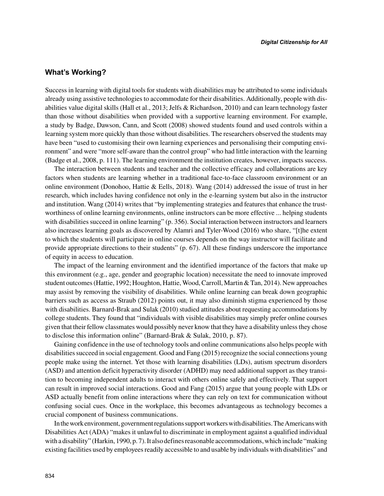## **What's Working?**

Success in learning with digital tools for students with disabilities may be attributed to some individuals already using assistive technologies to accommodate for their disabilities. Additionally, people with disabilities value digital skills (Hall et al., 2013; Jelfs & Richardson, 2010) and can learn technology faster than those without disabilities when provided with a supportive learning environment. For example, a study by Badge, Dawson, Cann, and Scott (2008) showed students found and used controls within a learning system more quickly than those without disabilities. The researchers observed the students may have been "used to customising their own learning experiences and personalising their computing environment" and were "more self-aware than the control group" who had little interaction with the learning (Badge et al., 2008, p. 111). The learning environment the institution creates, however, impacts success.

The interaction between students and teacher and the collective efficacy and collaborations are key factors when students are learning whether in a traditional face-to-face classroom environment or an online environment (Donohoo, Hattie & Eells, 2018). Wang (2014) addressed the issue of trust in her research, which includes having confidence not only in the e-learning system but also in the instructor and institution. Wang (2014) writes that "by implementing strategies and features that enhance the trustworthiness of online learning environments, online instructors can be more effective ... helping students with disabilities succeed in online learning" (p. 356). Social interaction between instructors and learners also increases learning goals as discovered by Alamri and Tyler-Wood (2016) who share, "[t]he extent to which the students will participate in online courses depends on the way instructor will facilitate and provide appropriate directions to their students" (p. 67). All these findings underscore the importance of equity in access to education.

The impact of the learning environment and the identified importance of the factors that make up this environment (e.g., age, gender and geographic location) necessitate the need to innovate improved student outcomes (Hattie, 1992; Houghton, Hattie, Wood, Carroll, Martin & Tan, 2014). New approaches may assist by removing the visibility of disabilities. While online learning can break down geographic barriers such as access as Straub (2012) points out, it may also diminish stigma experienced by those with disabilities. Barnard-Brak and Sulak (2010) studied attitudes about requesting accommodations by college students. They found that "individuals with visible disabilities may simply prefer online courses given that their fellow classmates would possibly never know that they have a disability unless they chose to disclose this information online" (Barnard-Brak & Sulak, 2010, p. 87).

Gaining confidence in the use of technology tools and online communications also helps people with disabilities succeed in social engagement. Good and Fang (2015) recognize the social connections young people make using the internet. Yet those with learning disabilities (LDs), autism spectrum disorders (ASD) and attention deficit hyperactivity disorder (ADHD) may need additional support as they transition to becoming independent adults to interact with others online safely and effectively. That support can result in improved social interactions. Good and Fang (2015) argue that young people with LDs or ASD actually benefit from online interactions where they can rely on text for communication without confusing social cues. Once in the workplace, this becomes advantageous as technology becomes a crucial component of business communications.

In the work environment, government regulations support workers with disabilities. The Americans with Disabilities Act (ADA) "makes it unlawful to discriminate in employment against a qualified individual with a disability" (Harkin, 1990, p. 7). It also defines reasonable accommodations, which include "making existing facilities used by employees readily accessible to and usable by individuals with disabilities" and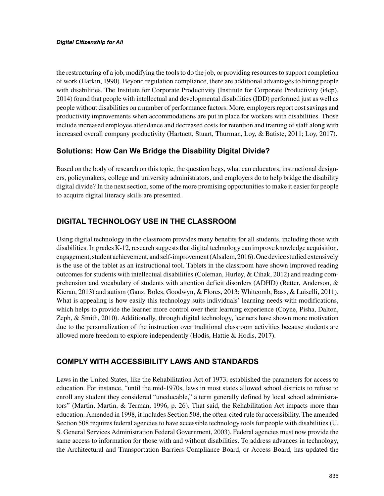the restructuring of a job, modifying the tools to do the job, or providing resources to support completion of work (Harkin, 1990). Beyond regulation compliance, there are additional advantages to hiring people with disabilities. The Institute for Corporate Productivity (Institute for Corporate Productivity (i4cp), 2014) found that people with intellectual and developmental disabilities (IDD) performed just as well as people without disabilities on a number of performance factors. More, employers report cost savings and productivity improvements when accommodations are put in place for workers with disabilities. Those include increased employee attendance and decreased costs for retention and training of staff along with increased overall company productivity (Hartnett, Stuart, Thurman, Loy, & Batiste, 2011; Loy, 2017).

## **Solutions: How Can We Bridge the Disability Digital Divide?**

Based on the body of research on this topic, the question begs, what can educators, instructional designers, policymakers, college and university administrators, and employers do to help bridge the disability digital divide? In the next section, some of the more promising opportunities to make it easier for people to acquire digital literacy skills are presented.

## **DIGITAL TECHNOLOGY USE IN THE CLASSROOM**

Using digital technology in the classroom provides many benefits for all students, including those with disabilities. In grades K-12, research suggests that digital technology can improve knowledge acquisition, engagement, student achievement, and self-improvement (Alsalem, 2016). One device studied extensively is the use of the tablet as an instructional tool. Tablets in the classroom have shown improved reading outcomes for students with intellectual disabilities (Coleman, Hurley, & Cihak, 2012) and reading comprehension and vocabulary of students with attention deficit disorders (ADHD) (Retter, Anderson, & Kieran, 2013) and autism (Ganz, Boles, Goodwyn, & Flores, 2013; Whitcomb, Bass, & Luiselli, 2011). What is appealing is how easily this technology suits individuals' learning needs with modifications, which helps to provide the learner more control over their learning experience (Coyne, Pisha, Dalton, Zeph, & Smith, 2010). Additionally, through digital technology, learners have shown more motivation due to the personalization of the instruction over traditional classroom activities because students are allowed more freedom to explore independently (Hodis, Hattie & Hodis, 2017).

## **COMPLY WITH ACCESSIBILITY LAWS AND STANDARDS**

Laws in the United States, like the Rehabilitation Act of 1973, established the parameters for access to education. For instance, "until the mid-1970s, laws in most states allowed school districts to refuse to enroll any student they considered "uneducable," a term generally defined by local school administrators" (Martin, Martin, & Terman, 1996, p. 26). That said, the Rehabilitation Act impacts more than education. Amended in 1998, it includes Section 508, the often-cited rule for accessibility. The amended Section 508 requires federal agencies to have accessible technology tools for people with disabilities (U. S. General Services Administration Federal Government, 2003). Federal agencies must now provide the same access to information for those with and without disabilities. To address advances in technology, the Architectural and Transportation Barriers Compliance Board, or Access Board, has updated the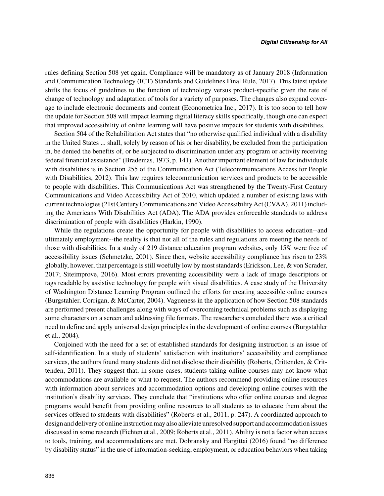rules defining Section 508 yet again. Compliance will be mandatory as of January 2018 (Information and Communication Technology (ICT) Standards and Guidelines Final Rule, 2017). This latest update shifts the focus of guidelines to the function of technology versus product-specific given the rate of change of technology and adaptation of tools for a variety of purposes. The changes also expand coverage to include electronic documents and content (Econometrica Inc., 2017). It is too soon to tell how the update for Section 508 will impact learning digital literacy skills specifically, though one can expect that improved accessibility of online learning will have positive impacts for students with disabilities.

Section 504 of the Rehabilitation Act states that "no otherwise qualified individual with a disability in the United States ... shall, solely by reason of his or her disability, be excluded from the participation in, be denied the benefits of, or be subjected to discrimination under any program or activity receiving federal financial assistance" (Brademas, 1973, p. 141). Another important element of law for individuals with disabilities is in Section 255 of the Communication Act (Telecommunications Access for People with Disabilities, 2012). This law requires telecommunication services and products to be accessible to people with disabilities. This Communications Act was strengthened by the Twenty-First Century Communications and Video Accessibility Act of 2010, which updated a number of existing laws with current technologies (21st Century Communications and Video Accessibility Act (CVAA), 2011) including the Americans With Disabilities Act (ADA). The ADA provides enforceable standards to address discrimination of people with disabilities (Harkin, 1990).

While the regulations create the opportunity for people with disabilities to access education--and ultimately employment--the reality is that not all of the rules and regulations are meeting the needs of those with disabilities. In a study of 219 distance education program websites, only 15% were free of accessibility issues (Schmetzke, 2001). Since then, website accessibility compliance has risen to 23% globally, however, that percentage is still woefully low by most standards (Erickson, Lee, & von Scrader, 2017; Siteimprove, 2016). Most errors preventing accessibility were a lack of image descriptors or tags readable by assistive technology for people with visual disabilities. A case study of the University of Washington Distance Learning Program outlined the efforts for creating accessible online courses (Burgstahler, Corrigan, & McCarter, 2004). Vagueness in the application of how Section 508 standards are performed present challenges along with ways of overcoming technical problems such as displaying some characters on a screen and addressing file formats. The researchers concluded there was a critical need to define and apply universal design principles in the development of online courses (Burgstahler et al., 2004).

Conjoined with the need for a set of established standards for designing instruction is an issue of self-identification. In a study of students' satisfaction with institutions' accessibility and compliance services, the authors found many students did not disclose their disability (Roberts, Crittenden, & Crittenden, 2011). They suggest that, in some cases, students taking online courses may not know what accommodations are available or what to request. The authors recommend providing online resources with information about services and accommodation options and developing online courses with the institution's disability services. They conclude that "institutions who offer online courses and degree programs would benefit from providing online resources to all students as to educate them about the services offered to students with disabilities" (Roberts et al., 2011, p. 247). A coordinated approach to design and delivery of online instruction may also alleviate unresolved support and accommodation issues discussed in some research (Fichten et al., 2009; Roberts et al., 2011). Ability is not a factor when access to tools, training, and accommodations are met. Dobransky and Hargittai (2016) found "no difference by disability status" in the use of information-seeking, employment, or education behaviors when taking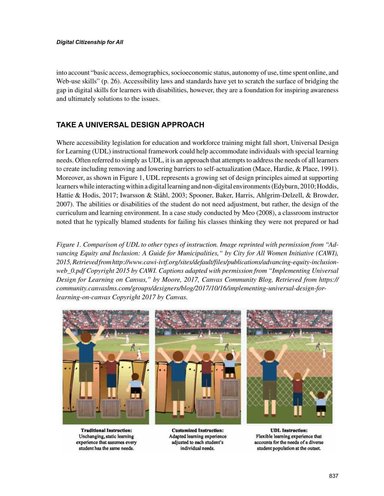into account "basic access, demographics, socioeconomic status, autonomy of use, time spent online, and Web-use skills" (p. 26). Accessibility laws and standards have yet to scratch the surface of bridging the gap in digital skills for learners with disabilities, however, they are a foundation for inspiring awareness and ultimately solutions to the issues.

## **TAKE A UNIVERSAL DESIGN APPROACH**

Where accessibility legislation for education and workforce training might fall short, Universal Design for Learning (UDL) instructional framework could help accommodate individuals with special learning needs. Often referred to simply as UDL, it is an approach that attempts to address the needs of all learners to create including removing and lowering barriers to self-actualization (Mace, Hardie, & Place, 1991). Moreover, as shown in Figure 1, UDL represents a growing set of design principles aimed at supporting learners while interacting within a digital learning and non-digital environments (Edyburn, 2010; Hoddis, Hattie & Hodis, 2017; Iwarsson & Ståhl, 2003; Spooner, Baker, Harris, Ahlgrim-Delzell, & Browder, 2007). The abilities or disabilities of the student do not need adjustment, but rather, the design of the curriculum and learning environment. In a case study conducted by Meo (2008), a classroom instructor noted that he typically blamed students for failing his classes thinking they were not prepared or had

*Figure 1. Comparison of UDL to other types of instruction. Image reprinted with permission from "Advancing Equity and Inclusion: A Guide for Municipalities," by City for All Women Initiative (CAWI), 2015, Retrieved from http://www.cawi-ivtf.org/sites/default/files/publications/advancing-equity-inclusionweb\_0.pdf Copyright 2015 by CAWI. Captions adapted with permission from "Implementing Universal Design for Learning on Canvas," by Moore, 2017, Canvas Community Blog, Retrieved from https:// community.canvaslms.com/groups/designers/blog/2017/10/16/implementing-universal-design-forlearning-on-canvas Copyright 2017 by Canvas.*



**Traditional Instruction:** Unchanging, static learning experience that assumes every student has the same needs.

**Customized Instruction:** Adapted learning experience adjusted to each student's individual needs.

**UDL** Instruction: Flexible learning experience that accounts for the needs of a diverse student population at the outset.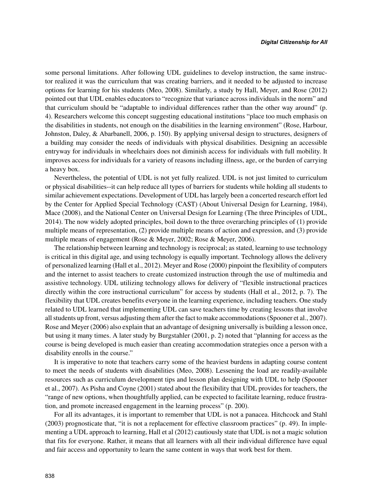some personal limitations. After following UDL guidelines to develop instruction, the same instructor realized it was the curriculum that was creating barriers, and it needed to be adjusted to increase options for learning for his students (Meo, 2008). Similarly, a study by Hall, Meyer, and Rose (2012) pointed out that UDL enables educators to "recognize that variance across individuals in the norm" and that curriculum should be "adaptable to individual differences rather than the other way around" (p. 4). Researchers welcome this concept suggesting educational institutions "place too much emphasis on the disabilities in students, not enough on the disabilities in the learning environment" (Rose, Harbour, Johnston, Daley, & Abarbanell, 2006, p. 150). By applying universal design to structures, designers of a building may consider the needs of individuals with physical disabilities. Designing an accessible entryway for individuals in wheelchairs does not diminish access for individuals with full mobility. It improves access for individuals for a variety of reasons including illness, age, or the burden of carrying a heavy box.

Nevertheless, the potential of UDL is not yet fully realized. UDL is not just limited to curriculum or physical disabilities--it can help reduce all types of barriers for students while holding all students to similar achievement expectations. Development of UDL has largely been a concerted research effort led by the Center for Applied Special Technology (CAST) (About Universal Design for Learning, 1984), Mace (2008), and the National Center on Universal Design for Learning (The three Principles of UDL, 2014). The now widely adopted principles, boil down to the three overarching principles of (1) provide multiple means of representation, (2) provide multiple means of action and expression, and (3) provide multiple means of engagement (Rose & Meyer, 2002; Rose & Meyer, 2006).

The relationship between learning and technology is reciprocal; as stated, learning to use technology is critical in this digital age, and using technology is equally important. Technology allows the delivery of personalized learning (Hall et al., 2012). Meyer and Rose (2000) pinpoint the flexibility of computers and the internet to assist teachers to create customized instruction through the use of multimedia and assistive technology. UDL utilizing technology allows for delivery of "flexible instructional practices directly within the core instructional curriculum" for access by students (Hall et al., 2012, p. 7). The flexibility that UDL creates benefits everyone in the learning experience, including teachers. One study related to UDL learned that implementing UDL can save teachers time by creating lessons that involve all students up front, versus adjusting them after the fact to make accommodations (Spooner et al., 2007). Rose and Meyer (2006) also explain that an advantage of designing universally is building a lesson once, but using it many times. A later study by Burgstahler (2001, p. 2) noted that "planning for access as the course is being developed is much easier than creating accommodation strategies once a person with a disability enrolls in the course."

It is imperative to note that teachers carry some of the heaviest burdens in adapting course content to meet the needs of students with disabilities (Meo, 2008). Lessening the load are readily-available resources such as curriculum development tips and lesson plan designing with UDL to help (Spooner et al., 2007). As Pisha and Coyne (2001) stated about the flexibility that UDL provides for teachers, the "range of new options, when thoughtfully applied, can be expected to facilitate learning, reduce frustration, and promote increased engagement in the learning process" (p. 200).

For all its advantages, it is important to remember that UDL is not a panacea. Hitchcock and Stahl (2003) prognosticate that, "it is not a replacement for effective classroom practices" (p. 49). In implementing a UDL approach to learning, Hall et al (2012) cautiously state that UDL is not a magic solution that fits for everyone. Rather, it means that all learners with all their individual difference have equal and fair access and opportunity to learn the same content in ways that work best for them.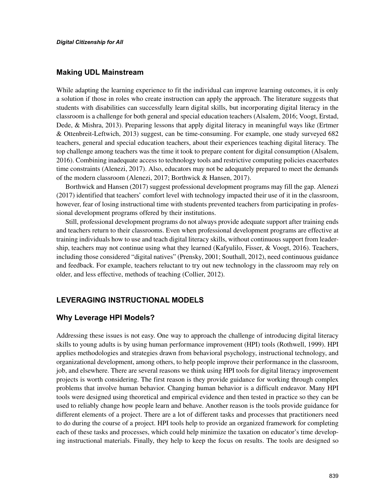## **Making UDL Mainstream**

While adapting the learning experience to fit the individual can improve learning outcomes, it is only a solution if those in roles who create instruction can apply the approach. The literature suggests that students with disabilities can successfully learn digital skills, but incorporating digital literacy in the classroom is a challenge for both general and special education teachers (Alsalem, 2016; Voogt, Erstad, Dede, & Mishra, 2013). Preparing lessons that apply digital literacy in meaningful ways like (Ertmer & Ottenbreit-Leftwich, 2013) suggest, can be time-consuming. For example, one study surveyed 682 teachers, general and special education teachers, about their experiences teaching digital literacy. The top challenge among teachers was the time it took to prepare content for digital consumption (Alsalem, 2016). Combining inadequate access to technology tools and restrictive computing policies exacerbates time constraints (Alenezi, 2017). Also, educators may not be adequately prepared to meet the demands of the modern classroom (Alenezi, 2017; Borthwick & Hansen, 2017).

Borthwick and Hansen (2017) suggest professional development programs may fill the gap. Alenezi (2017) identified that teachers' comfort level with technology impacted their use of it in the classroom, however, fear of losing instructional time with students prevented teachers from participating in professional development programs offered by their institutions.

Still, professional development programs do not always provide adequate support after training ends and teachers return to their classrooms. Even when professional development programs are effective at training individuals how to use and teach digital literacy skills, without continuous support from leadership, teachers may not continue using what they learned (Kafyulilo, Fisser, & Voogt, 2016). Teachers, including those considered "digital natives" (Prensky, 2001; Southall, 2012), need continuous guidance and feedback. For example, teachers reluctant to try out new technology in the classroom may rely on older, and less effective, methods of teaching (Collier, 2012).

## **LEVERAGING INSTRUCTIONAL MODELS**

#### **Why Leverage HPI Models?**

Addressing these issues is not easy. One way to approach the challenge of introducing digital literacy skills to young adults is by using human performance improvement (HPI) tools (Rothwell, 1999). HPI applies methodologies and strategies drawn from behavioral psychology, instructional technology, and organizational development, among others, to help people improve their performance in the classroom, job, and elsewhere. There are several reasons we think using HPI tools for digital literacy improvement projects is worth considering. The first reason is they provide guidance for working through complex problems that involve human behavior. Changing human behavior is a difficult endeavor. Many HPI tools were designed using theoretical and empirical evidence and then tested in practice so they can be used to reliably change how people learn and behave. Another reason is the tools provide guidance for different elements of a project. There are a lot of different tasks and processes that practitioners need to do during the course of a project. HPI tools help to provide an organized framework for completing each of these tasks and processes, which could help minimize the taxation on educator's time developing instructional materials. Finally, they help to keep the focus on results. The tools are designed so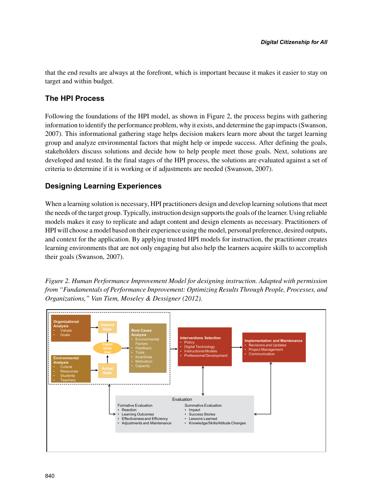that the end results are always at the forefront, which is important because it makes it easier to stay on target and within budget.

## **The HPI Process**

Following the foundations of the HPI model, as shown in Figure 2, the process begins with gathering information to identify the performance problem, why it exists, and determine the gap impacts (Swanson, 2007). This informational gathering stage helps decision makers learn more about the target learning group and analyze environmental factors that might help or impede success. After defining the goals, stakeholders discuss solutions and decide how to help people meet those goals. Next, solutions are developed and tested. In the final stages of the HPI process, the solutions are evaluated against a set of criteria to determine if it is working or if adjustments are needed (Swanson, 2007).

## **Designing Learning Experiences**

When a learning solution is necessary, HPI practitioners design and develop learning solutions that meet the needs of the target group. Typically, instruction design supports the goals of the learner. Using reliable models makes it easy to replicate and adapt content and design elements as necessary. Practitioners of HPI will choose a model based on their experience using the model, personal preference, desired outputs, and context for the application. By applying trusted HPI models for instruction, the practitioner creates learning environments that are not only engaging but also help the learners acquire skills to accomplish their goals (Swanson, 2007).

*Figure 2. Human Performance Improvement Model for designing instruction. Adapted with permission from "Fundamentals of Performance Improvement: Optimizing Results Through People, Processes, and Organizations," Van Tiem, Moseley & Dessigner (2012).*

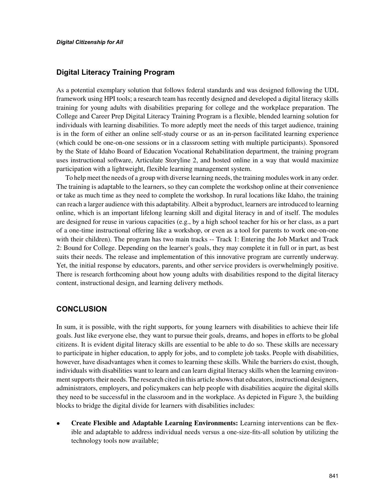## **Digital Literacy Training Program**

As a potential exemplary solution that follows federal standards and was designed following the UDL framework using HPI tools; a research team has recently designed and developed a digital literacy skills training for young adults with disabilities preparing for college and the workplace preparation. The College and Career Prep Digital Literacy Training Program is a flexible, blended learning solution for individuals with learning disabilities. To more adeptly meet the needs of this target audience, training is in the form of either an online self-study course or as an in-person facilitated learning experience (which could be one-on-one sessions or in a classroom setting with multiple participants). Sponsored by the State of Idaho Board of Education Vocational Rehabilitation department, the training program uses instructional software, Articulate Storyline 2, and hosted online in a way that would maximize participation with a lightweight, flexible learning management system.

To help meet the needs of a group with diverse learning needs, the training modules work in any order. The training is adaptable to the learners, so they can complete the workshop online at their convenience or take as much time as they need to complete the workshop. In rural locations like Idaho, the training can reach a larger audience with this adaptability. Albeit a byproduct, learners are introduced to learning online, which is an important lifelong learning skill and digital literacy in and of itself. The modules are designed for reuse in various capacities (e.g., by a high school teacher for his or her class, as a part of a one-time instructional offering like a workshop, or even as a tool for parents to work one-on-one with their children). The program has two main tracks -- Track 1: Entering the Job Market and Track 2: Bound for College. Depending on the learner's goals, they may complete it in full or in part, as best suits their needs. The release and implementation of this innovative program are currently underway. Yet, the initial response by educators, parents, and other service providers is overwhelmingly positive. There is research forthcoming about how young adults with disabilities respond to the digital literacy content, instructional design, and learning delivery methods.

#### **CONCLUSION**

In sum, it is possible, with the right supports, for young learners with disabilities to achieve their life goals. Just like everyone else, they want to pursue their goals, dreams, and hopes in efforts to be global citizens. It is evident digital literacy skills are essential to be able to do so. These skills are necessary to participate in higher education, to apply for jobs, and to complete job tasks. People with disabilities, however, have disadvantages when it comes to learning these skills. While the barriers do exist, though, individuals with disabilities want to learn and can learn digital literacy skills when the learning environment supports their needs. The research cited in this article shows that educators, instructional designers, administrators, employers, and policymakers can help people with disabilities acquire the digital skills they need to be successful in the classroom and in the workplace. As depicted in Figure 3, the building blocks to bridge the digital divide for learners with disabilities includes:

• **Create Flexible and Adaptable Learning Environments:** Learning interventions can be flexible and adaptable to address individual needs versus a one-size-fits-all solution by utilizing the technology tools now available;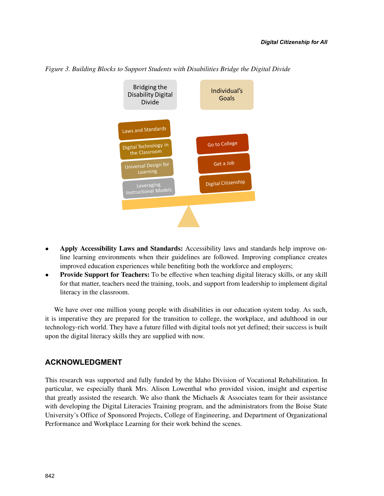

*Figure 3. Building Blocks to Support Students with Disabilities Bridge the Digital Divide*

- **Apply Accessibility Laws and Standards:** Accessibility laws and standards help improve online learning environments when their guidelines are followed. Improving compliance creates improved education experiences while benefiting both the workforce and employers;
- **Provide Support for Teachers:** To be effective when teaching digital literacy skills, or any skill for that matter, teachers need the training, tools, and support from leadership to implement digital literacy in the classroom.

We have over one million young people with disabilities in our education system today. As such, it is imperative they are prepared for the transition to college, the workplace, and adulthood in our technology-rich world. They have a future filled with digital tools not yet defined; their success is built upon the digital literacy skills they are supplied with now.

### **ACKNOWLEDGMENT**

This research was supported and fully funded by the Idaho Division of Vocational Rehabilitation. In particular, we especially thank Mrs. Alison Lowenthal who provided vision, insight and expertise that greatly assisted the research. We also thank the Michaels  $\&$  Associates team for their assistance with developing the Digital Literacies Training program, and the administrators from the Boise State University's Office of Sponsored Projects, College of Engineering, and Department of Organizational Performance and Workplace Learning for their work behind the scenes.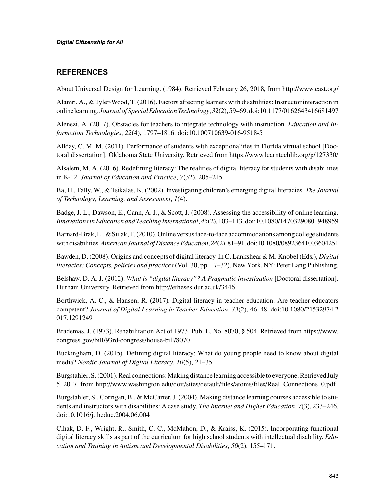## **REFERENCES**

About Universal Design for Learning. (1984). Retrieved February 26, 2018, from http://www.cast.org/

Alamri, A., & Tyler-Wood, T. (2016). Factors affecting learners with disabilities: Instructor interaction in online learning. *Journal of Special Education Technology*, *32*(2), 59–69. doi:10.1177/0162643416681497

Alenezi, A. (2017). Obstacles for teachers to integrate technology with instruction. *Education and Information Technologies*, *22*(4), 1797–1816. doi:10.100710639-016-9518-5

Allday, C. M. M. (2011). Performance of students with exceptionalities in Florida virtual school [Doctoral dissertation]. Oklahoma State University. Retrieved from https://www.learntechlib.org/p/127330/

Alsalem, M. A. (2016). Redefining literacy: The realities of digital literacy for students with disabilities in K-12. *Journal of Education and Practice*, *7*(32), 205–215.

Ba, H., Tally, W., & Tsikalas, K. (2002). Investigating children's emerging digital literacies. *The Journal of Technology, Learning, and Assessment*, *1*(4).

Badge, J. L., Dawson, E., Cann, A. J., & Scott, J. (2008). Assessing the accessibility of online learning. *Innovations in Education and Teaching International*, *45*(2), 103–113. doi:10.1080/14703290801948959

Barnard-Brak, L., & Sulak, T. (2010). Online versus face-to-face accommodations among college students with disabilities. *American Journal of Distance Education*, *24*(2), 81–91. doi:10.1080/08923641003604251

Bawden, D. (2008). Origins and concepts of digital literacy. In C. Lankshear & M. Knobel (Eds.), *Digital literacies: Concepts, policies and practices* (Vol. 30, pp. 17–32). New York, NY: Peter Lang Publishing.

Belshaw, D. A. J. (2012). *What is "digital literacy"? A Pragmatic investigation* [Doctoral dissertation]. Durham University. Retrieved from http://etheses.dur.ac.uk/3446

Borthwick, A. C., & Hansen, R. (2017). Digital literacy in teacher education: Are teacher educators competent? *Journal of Digital Learning in Teacher Education*, *33*(2), 46–48. doi:10.1080/21532974.2 017.1291249

Brademas, J. (1973). Rehabilitation Act of 1973, Pub. L. No. 8070, § 504. Retrieved from https://www. congress.gov/bill/93rd-congress/house-bill/8070

Buckingham, D. (2015). Defining digital literacy: What do young people need to know about digital media? *Nordic Journal of Digital Literacy*, *10*(5), 21–35.

Burgstahler, S. (2001). Real connections: Making distance learning accessible to everyone. Retrieved July 5, 2017, from http://www.washington.edu/doit/sites/default/files/atoms/files/Real\_Connections\_0.pdf

Burgstahler, S., Corrigan, B., & McCarter, J. (2004). Making distance learning courses accessible to students and instructors with disabilities: A case study. *The Internet and Higher Education*, *7*(3), 233–246. doi:10.1016/j.iheduc.2004.06.004

Cihak, D. F., Wright, R., Smith, C. C., McMahon, D., & Kraiss, K. (2015). Incorporating functional digital literacy skills as part of the curriculum for high school students with intellectual disability. *Education and Training in Autism and Developmental Disabilities*, *50*(2), 155–171.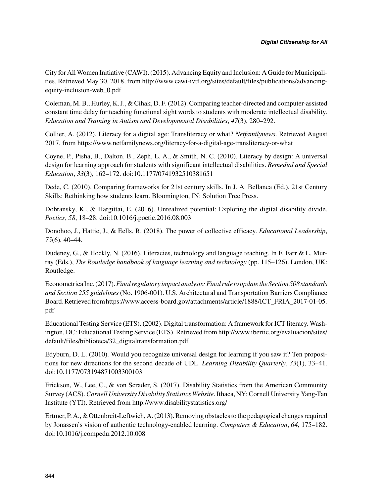City for All Women Initiative (CAWI). (2015). Advancing Equity and Inclusion: A Guide for Municipalities. Retrieved May 30, 2018, from http://www.cawi-ivtf.org/sites/default/files/publications/advancingequity-inclusion-web\_0.pdf

Coleman, M. B., Hurley, K. J., & Cihak, D. F. (2012). Comparing teacher-directed and computer-assisted constant time delay for teaching functional sight words to students with moderate intellectual disability. *Education and Training in Autism and Developmental Disabilities*, *47*(3), 280–292.

Collier, A. (2012). Literacy for a digital age: Transliteracy or what? *Netfamilynews*. Retrieved August 2017, from https://www.netfamilynews.org/literacy-for-a-digital-age-transliteracy-or-what

Coyne, P., Pisha, B., Dalton, B., Zeph, L. A., & Smith, N. C. (2010). Literacy by design: A universal design for learning approach for students with significant intellectual disabilities. *Remedial and Special Education*, *33*(3), 162–172. doi:10.1177/0741932510381651

Dede, C. (2010). Comparing frameworks for 21st century skills. In J. A. Bellanca (Ed.), 21st Century Skills: Rethinking how students learn. Bloomington, IN: Solution Tree Press.

Dobransky, K., & Hargittai, E. (2016). Unrealized potential: Exploring the digital disability divide. *Poetics*, *58*, 18–28. doi:10.1016/j.poetic.2016.08.003

Donohoo, J., Hattie, J., & Eells, R. (2018). The power of collective efficacy. *Educational Leadership*, *75*(6), 40–44.

Dudeney, G., & Hockly, N. (2016). Literacies, technology and language teaching. In F. Farr & L. Murray (Eds.), *The Routledge handbook of language learning and technology* (pp. 115–126). London, UK: Routledge.

Econometrica Inc. (2017). *Final regulatory impact analysis: Final rule to update the Section 508 standards and Section 255 guidelines* (No. 1906-001). U.S. Architectural and Transportation Barriers Compliance Board. Retrieved from https://www.access-board.gov/attachments/article/1888/ICT\_FRIA\_2017-01-05. pdf

Educational Testing Service (ETS). (2002). Digital transformation: A framework for ICT literacy. Washington, DC: Educational Testing Service (ETS). Retrieved from http://www.ibertic.org/evaluacion/sites/ default/files/biblioteca/32\_digitaltransformation.pdf

Edyburn, D. L. (2010). Would you recognize universal design for learning if you saw it? Ten propositions for new directions for the second decade of UDL. *Learning Disability Quarterly*, *33*(1), 33–41. doi:10.1177/073194871003300103

Erickson, W., Lee, C., & von Scrader, S. (2017). Disability Statistics from the American Community Survey (ACS). *Cornell University Disability Statistics Website*. Ithaca, NY: Cornell University Yang-Tan Institute (YTI). Retrieved from http://www.disabilitystatistics.org/

Ertmer, P. A., & Ottenbreit-Leftwich, A. (2013). Removing obstacles to the pedagogical changes required by Jonassen's vision of authentic technology-enabled learning. *Computers & Education*, *64*, 175–182. doi:10.1016/j.compedu.2012.10.008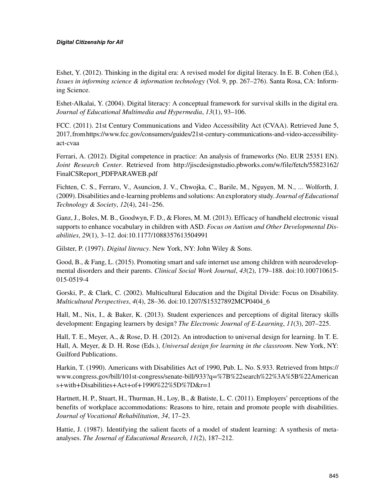Eshet, Y. (2012). Thinking in the digital era: A revised model for digital literacy. In E. B. Cohen (Ed.), *Issues in informing science & information technology* (Vol. 9, pp. 267–276). Santa Rosa, CA: Informing Science.

Eshet-Alkalai, Y. (2004). Digital literacy: A conceptual framework for survival skills in the digital era. *Journal of Educational Multimedia and Hypermedia*, *13*(1), 93–106.

FCC. (2011). 21st Century Communications and Video Accessibility Act (CVAA). Retrieved June 5, 2017, from https://www.fcc.gov/consumers/guides/21st-century-communications-and-video-accessibilityact-cvaa

Ferrari, A. (2012). Digital competence in practice: An analysis of frameworks (No. EUR 25351 EN). *Joint Research Center*. Retrieved from http://jiscdesignstudio.pbworks.com/w/file/fetch/55823162/ FinalCSReport\_PDFPARAWEB.pdf

Fichten, C. S., Ferraro, V., Asuncion, J. V., Chwojka, C., Barile, M., Nguyen, M. N., ... Wolforth, J. (2009). Disabilities and e-learning problems and solutions: An exploratory study. *Journal of Educational Technology & Society*, *12*(4), 241–256.

Ganz, J., Boles, M. B., Goodwyn, F. D., & Flores, M. M. (2013). Efficacy of handheld electronic visual supports to enhance vocabulary in children with ASD. *Focus on Autism and Other Developmental Disabilities*, *29*(1), 3–12. doi:10.1177/1088357613504991

Gilster, P. (1997). *Digital literacy*. New York, NY: John Wiley & Sons.

Good, B., & Fang, L. (2015). Promoting smart and safe internet use among children with neurodevelopmental disorders and their parents. *Clinical Social Work Journal*, *43*(2), 179–188. doi:10.100710615- 015-0519-4

Gorski, P., & Clark, C. (2002). Multicultural Education and the Digital Divide: Focus on Disability. *Multicultural Perspectives*, *4*(4), 28–36. doi:10.1207/S15327892MCP0404\_6

Hall, M., Nix, I., & Baker, K. (2013). Student experiences and perceptions of digital literacy skills development: Engaging learners by design? *The Electronic Journal of E-Learning*, *11*(3), 207–225.

Hall, T. E., Meyer, A., & Rose, D. H. (2012). An introduction to universal design for learning. In T. E. Hall, A. Meyer, & D. H. Rose (Eds.), *Universal design for learning in the classroom*. New York, NY: Guilford Publications.

Harkin, T. (1990). Americans with Disabilities Act of 1990, Pub. L. No. S.933. Retrieved from https:// www.congress.gov/bill/101st-congress/senate-bill/933?q=%7B%22search%22%3A%5B%22American s+with+Disabilities+Act+of+1990%22%5D%7D&r=1

Hartnett, H. P., Stuart, H., Thurman, H., Loy, B., & Batiste, L. C. (2011). Employers' perceptions of the benefits of workplace accommodations: Reasons to hire, retain and promote people with disabilities. *Journal of Vocational Rehabilitation*, *34*, 17–23.

Hattie, J. (1987). Identifying the salient facets of a model of student learning: A synthesis of metaanalyses. *The Journal of Educational Research*, *11*(2), 187–212.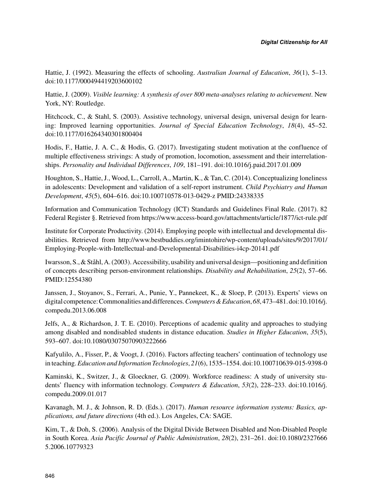Hattie, J. (1992). Measuring the effects of schooling. *Australian Journal of Education*, *36*(1), 5–13. doi:10.1177/000494419203600102

Hattie, J. (2009). *Visible learning: A synthesis of over 800 meta-analyses relating to achievement*. New York, NY: Routledge.

Hitchcock, C., & Stahl, S. (2003). Assistive technology, universal design, universal design for learning: Improved learning opportunities. *Journal of Special Education Technology*, *18*(4), 45–52. doi:10.1177/016264340301800404

Hodis, F., Hattie, J. A. C., & Hodis, G. (2017). Investigating student motivation at the confluence of multiple effectiveness strivings: A study of promotion, locomotion, assessment and their interrelationships. *Personality and Individual Differences*, *109*, 181–191. doi:10.1016/j.paid.2017.01.009

Houghton, S., Hattie, J., Wood, L., Carroll, A., Martin, K., & Tan, C. (2014). Conceptualizing loneliness in adolescents: Development and validation of a self-report instrument. *Child Psychiatry and Human Development*, *45*(5), 604–616. doi:10.100710578-013-0429-z PMID:24338335

Information and Communication Technology (ICT) Standards and Guidelines Final Rule. (2017). 82 Federal Register §. Retrieved from https://www.access-board.gov/attachments/article/1877/ict-rule.pdf

Institute for Corporate Productivity. (2014). Employing people with intellectual and developmental disabilities. Retrieved from http://www.bestbuddies.org/imintohire/wp-content/uploads/sites/9/2017/01/ Employing-People-with-Intellectual-and-Developmental-Disabilities-i4cp-20141.pdf

Iwarsson, S., & Ståhl, A. (2003). Accessibility, usability and universal design—positioning and definition of concepts describing person-environment relationships. *Disability and Rehabilitation*, *25*(2), 57–66. PMID:12554380

Janssen, J., Stoyanov, S., Ferrari, A., Punie, Y., Pannekeet, K., & Sloep, P. (2013). Experts' views on digital competence: Commonalities and differences. *Computers & Education*, *68*, 473–481. doi:10.1016/j. compedu.2013.06.008

Jelfs, A., & Richardson, J. T. E. (2010). Perceptions of academic quality and approaches to studying among disabled and nondisabled students in distance education. *Studies in Higher Education*, *35*(5), 593–607. doi:10.1080/03075070903222666

Kafyulilo, A., Fisser, P., & Voogt, J. (2016). Factors affecting teachers' continuation of technology use in teaching. *Education and Information Technologies*, *21*(6), 1535–1554. doi:10.100710639-015-9398-0

Kaminski, K., Switzer, J., & Gloeckner, G. (2009). Workforce readiness: A study of university students' fluency with information technology. *Computers & Education*, *53*(2), 228–233. doi:10.1016/j. compedu.2009.01.017

Kavanagh, M. J., & Johnson, R. D. (Eds.). (2017). *Human resource information systems: Basics, applications, and future directions* (4th ed.). Los Angeles, CA: SAGE.

Kim, T., & Doh, S. (2006). Analysis of the Digital Divide Between Disabled and Non-Disabled People in South Korea. *Asia Pacific Journal of Public Administration*, *28*(2), 231–261. doi:10.1080/2327666 5.2006.10779323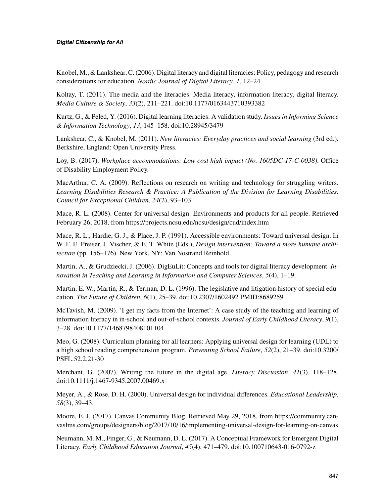Knobel, M., & Lankshear, C. (2006). Digital literacy and digital literacies: Policy, pedagogy and research considerations for education. *Nordic Journal of Digital Literacy*, *1*, 12–24.

Koltay, T. (2011). The media and the literacies: Media literacy, information literacy, digital literacy. *Media Culture & Society*, *33*(2), 211–221. doi:10.1177/0163443710393382

Kurtz, G., & Peled, Y. (2016). Digital learning literacies: A validation study. *Issues in Informing Science & Information Technology*, *13*, 145–158. doi:10.28945/3479

Lankshear, C., & Knobel, M. (2011). *New literacies: Everyday practices and social learning* (3rd ed.). Berkshire, England: Open University Press.

Loy, B. (2017). *Workplace accommodations: Low cost high impact (No. 1605DC-17-C-0038)*. Office of Disability Employment Policy.

MacArthur, C. A. (2009). Reflections on research on writing and technology for struggling writers. *Learning Disabilities Research & Practice: A Publication of the Division for Learning Disabilities*. *Council for Exceptional Children*, *24*(2), 93–103.

Mace, R. L. (2008). Center for universal design: Environments and products for all people. Retrieved February 26, 2018, from https://projects.ncsu.edu/ncsu/design/cud/index.htm

Mace, R. L., Hardie, G. J., & Place, J. P. (1991). Accessible environments: Toward universal design. In W. F. E. Preiser, J. Vischer, & E. T. White (Eds.), *Design intervention: Toward a more humane architecture* (pp. 156–176). New York, NY: Van Nostrand Reinhold.

Martin, A., & Grudziecki, J. (2006). DigEuLit: Concepts and tools for digital literacy development. *Innovation in Teaching and Learning in Information and Computer Sciences*, *5*(4), 1–19.

Martin, E. W., Martin, R., & Terman, D. L. (1996). The legislative and litigation history of special education. *The Future of Children*, *6*(1), 25–39. doi:10.2307/1602492 PMID:8689259

McTavish, M. (2009). 'I get my facts from the Internet': A case study of the teaching and learning of information literacy in in-school and out-of-school contexts. *Journal of Early Childhood Literacy*, *9*(1), 3–28. doi:10.1177/1468798408101104

Meo, G. (2008). Curriculum planning for all learners: Applying universal design for learning (UDL) to a high school reading comprehension program. *Preventing School Failure*, *52*(2), 21–39. doi:10.3200/ PSFL.52.2.21-30

Merchant, G. (2007). Writing the future in the digital age. *Literacy Discussion*, *41*(3), 118–128. doi:10.1111/j.1467-9345.2007.00469.x

Meyer, A., & Rose, D. H. (2000). Universal design for individual differences. *Educational Leadership*, *58*(3), 39–43.

Moore, E. J. (2017). Canvas Community Blog. Retrieved May 29, 2018, from https://community.canvaslms.com/groups/designers/blog/2017/10/16/implementing-universal-design-for-learning-on-canvas

Neumann, M. M., Finger, G., & Neumann, D. L. (2017). A Conceptual Framework for Emergent Digital Literacy. *Early Childhood Education Journal*, *45*(4), 471–479. doi:10.100710643-016-0792-z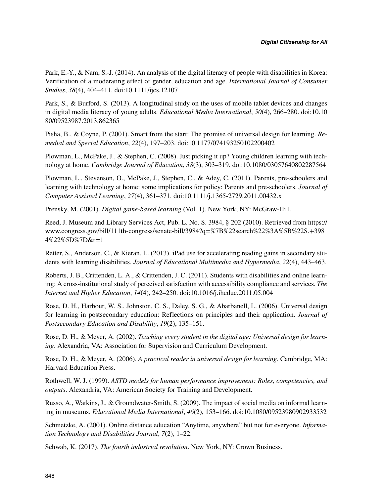Park, E.-Y., & Nam, S.-J. (2014). An analysis of the digital literacy of people with disabilities in Korea: Verification of a moderating effect of gender, education and age. *International Journal of Consumer Studies*, *38*(4), 404–411. doi:10.1111/ijcs.12107

Park, S., & Burford, S. (2013). A longitudinal study on the uses of mobile tablet devices and changes in digital media literacy of young adults. *Educational Media International*, *50*(4), 266–280. doi:10.10 80/09523987.2013.862365

Pisha, B., & Coyne, P. (2001). Smart from the start: The promise of universal design for learning. *Remedial and Special Education*, *22*(4), 197–203. doi:10.1177/074193250102200402

Plowman, L., McPake, J., & Stephen, C. (2008). Just picking it up? Young children learning with technology at home. *Cambridge Journal of Education*, *38*(3), 303–319. doi:10.1080/03057640802287564

Plowman, L., Stevenson, O., McPake, J., Stephen, C., & Adey, C. (2011). Parents, pre-schoolers and learning with technology at home: some implications for policy: Parents and pre-schoolers. *Journal of Computer Assisted Learning*, *27*(4), 361–371. doi:10.1111/j.1365-2729.2011.00432.x

Prensky, M. (2001). *Digital game-based learning* (Vol. 1). New York, NY: McGraw-Hill.

Reed, J. Museum and Library Services Act, Pub. L. No. S. 3984, § 202 (2010). Retrieved from https:// www.congress.gov/bill/111th-congress/senate-bill/3984?q=%7B%22search%22%3A%5B%22S.+398 4%22%5D%7D&r=1

Retter, S., Anderson, C., & Kieran, L. (2013). iPad use for accelerating reading gains in secondary students with learning disabilities. *Journal of Educational Multimedia and Hypermedia*, *22*(4), 443–463.

Roberts, J. B., Crittenden, L. A., & Crittenden, J. C. (2011). Students with disabilities and online learning: A cross-institutional study of perceived satisfaction with accessibility compliance and services. *The Internet and Higher Education*, *14*(4), 242–250. doi:10.1016/j.iheduc.2011.05.004

Rose, D. H., Harbour, W. S., Johnston, C. S., Daley, S. G., & Abarbanell, L. (2006). Universal design for learning in postsecondary education: Reflections on principles and their application. *Journal of Postsecondary Education and Disability*, *19*(2), 135–151.

Rose, D. H., & Meyer, A. (2002). *Teaching every student in the digital age: Universal design for learning*. Alexandria, VA: Association for Supervision and Curriculum Development.

Rose, D. H., & Meyer, A. (2006). *A practical reader in universal design for learning*. Cambridge, MA: Harvard Education Press.

Rothwell, W. J. (1999). *ASTD models for human performance improvement: Roles, competencies, and outputs*. Alexandria, VA: American Society for Training and Development.

Russo, A., Watkins, J., & Groundwater‐Smith, S. (2009). The impact of social media on informal learning in museums. *Educational Media International*, *46*(2), 153–166. doi:10.1080/09523980902933532

Schmetzke, A. (2001). Online distance education "Anytime, anywhere" but not for everyone. *Information Technology and Disabilities Journal*, *7*(2), 1–22.

Schwab, K. (2017). *The fourth industrial revolution*. New York, NY: Crown Business.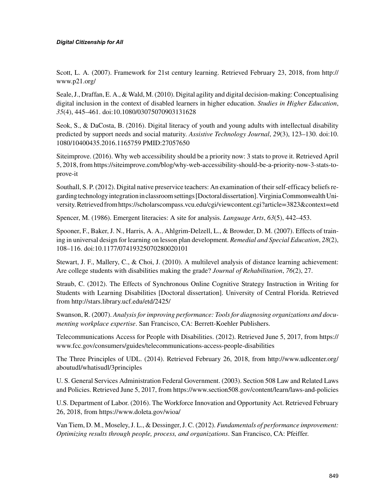Scott, L. A. (2007). Framework for 21st century learning. Retrieved February 23, 2018, from http:// www.p21.org/

Seale, J., Draffan, E. A., & Wald, M. (2010). Digital agility and digital decision-making: Conceptualising digital inclusion in the context of disabled learners in higher education. *Studies in Higher Education*, *35*(4), 445–461. doi:10.1080/03075070903131628

Seok, S., & DaCosta, B. (2016). Digital literacy of youth and young adults with intellectual disability predicted by support needs and social maturity. *Assistive Technology Journal*, *29*(3), 123–130. doi:10. 1080/10400435.2016.1165759 PMID:27057650

Siteimprove. (2016). Why web accessibility should be a priority now: 3 stats to prove it. Retrieved April 5, 2018, from https://siteimprove.com/blog/why-web-accessibility-should-be-a-priority-now-3-stats-toprove-it

Southall, S. P. (2012). Digital native preservice teachers: An examination of their self-efficacy beliefs regarding technology integration in classroom settings [Doctoral dissertation]. Virginia Commonwealth University. Retrieved from https://scholarscompass.vcu.edu/cgi/viewcontent.cgi?article=3823&context=etd

Spencer, M. (1986). Emergent literacies: A site for analysis. *Language Arts*, *63*(5), 442–453.

Spooner, F., Baker, J. N., Harris, A. A., Ahlgrim-Delzell, L., & Browder, D. M. (2007). Effects of training in universal design for learning on lesson plan development. *Remedial and Special Education*, *28*(2), 108–116. doi:10.1177/07419325070280020101

Stewart, J. F., Mallery, C., & Choi, J. (2010). A multilevel analysis of distance learning achievement: Are college students with disabilities making the grade? *Journal of Rehabilitation*, *76*(2), 27.

Straub, C. (2012). The Effects of Synchronous Online Cognitive Strategy Instruction in Writing for Students with Learning Disabilities [Doctoral dissertation]. University of Central Florida. Retrieved from http://stars.library.ucf.edu/etd/2425/

Swanson, R. (2007). *Analysis for improving performance: Tools for diagnosing organizations and documenting workplace expertise*. San Francisco, CA: Berrett-Koehler Publishers.

Telecommunications Access for People with Disabilities. (2012). Retrieved June 5, 2017, from https:// www.fcc.gov/consumers/guides/telecommunications-access-people-disabilities

The Three Principles of UDL. (2014). Retrieved February 26, 2018, from http://www.udlcenter.org/ aboutudl/whatisudl/3principles

U. S. General Services Administration Federal Government. (2003). Section 508 Law and Related Laws and Policies. Retrieved June 5, 2017, from https://www.section508.gov/content/learn/laws-and-policies

U.S. Department of Labor. (2016). The Workforce Innovation and Opportunity Act. Retrieved February 26, 2018, from https://www.doleta.gov/wioa/

Van Tiem, D. M., Moseley, J. L., & Dessinger, J. C. (2012). *Fundamentals of performance improvement: Optimizing results through people, process, and organizations*. San Francisco, CA: Pfeiffer.